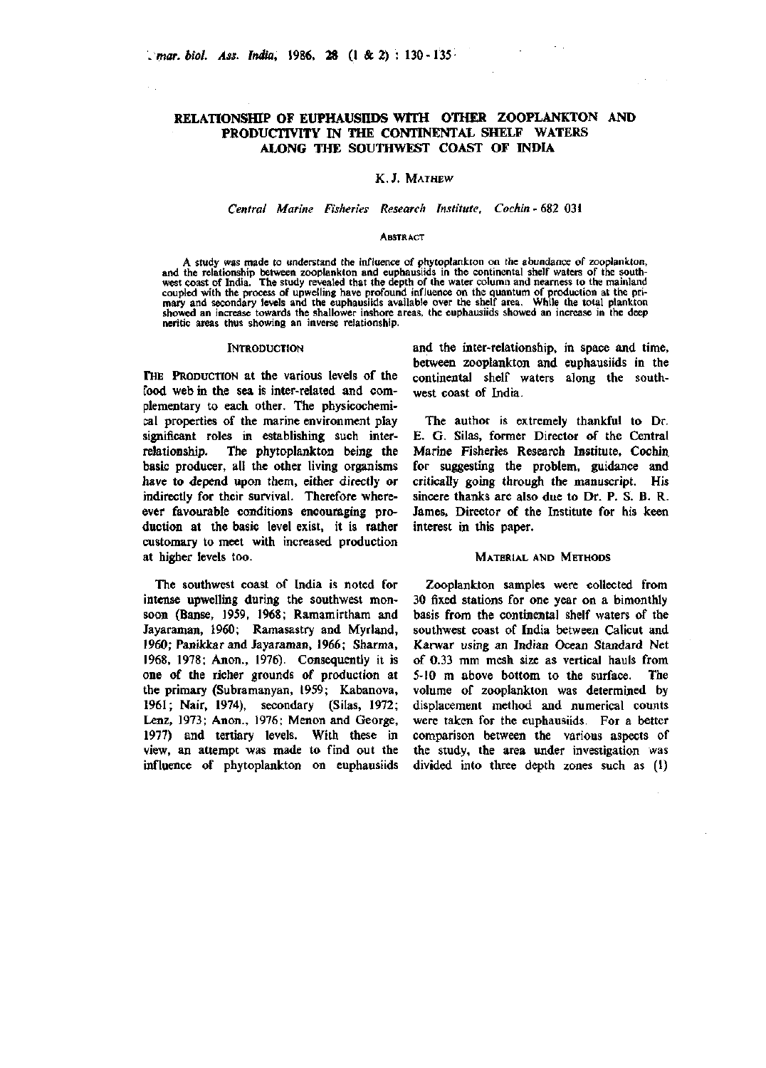# **RELATIONSfflP OF EUPHAUSHOS WITH OTHER ZOOPLANKTON AND PRODUCTIVITY IN THE CONTINENTAL SHELF WATERS ALONG THE SOUTHWEST COAST OF INDIA**

## K.J. MATHEW

# *Central Marine Fisheries Research Institute, Cochin -* 682 031

#### **ABSTRACT**

A study was made to understand the influence of phytoplankton on the abundance of zooplankton, and the relationship between zooplankton and euphausiids in the continental shelf waters of the southwest coast of India. The s coupled with the process of upwelling have profound influence on the quantum of production at the pri-mary and secondary levels and the euphausiids available over the shelf area. While the total plankton showed an increase towards the shallower inshore areas, the euphausiids showed an increase in the deep neritic areas thus showing an inverse relationship.

#### **INTRODUCTION**

THE PRODUCTION at the various levels of the food web in the sea is inter-related and complementary to each other. The physicochemical properties of the marine environment play significant roles in establishing such interrelationship. The phytoplankton being the basic producer, all the other living organisms have to depend upon them, either directly or indirectly for their survival. Therefore whereever favourable conditions encouraging production at the basic level exist, it is rather customary to meet with increased production at higher levels too.

The southwest coast of India is noted for intense upwelling during the southwest monsoon (Banse, 1959, 1968; Ramamirtham and Jayaraman, 1960; Ramasastry and Myrland, 1960; Panikkar and Jayaraman, 1966; Sharma, 1968, 1978; Anon., 1976). Consequently it is one of the richer grounds of production at the primary (Subramanyan, 1959; Kabanova, 1961; Nair, 1974), secondary (Silas, 1972; Lenz, 1973; Anon., 1976; Menon and George, 1977) and tertiary levels. With these in view, an attempt was made to find out the influence of phytoplankton on euphausiids

and the inter-relationship, in space and time, between zooplankton and euphausiids in the continental shelf waters along the southwest coast of India.

The author is extremely thankful to Dr. E. G. Silas, former Director of the Central Marine Fisheries Research Institute, Cochin, for suggesting the problem, guidance and critically going through the manuscript. His sincere thanks are also due to Dr. P. S. B. R. James, Director of the Institute for his keen interest in this paper.

### MATERIAL AND METHODS

Zooplankton samples were collected from 30 fixed stations for one year on a bimonthly basis from the continental shelf waters of the southwest coast of India between Calicut and Kanvar using an Indian Ocean Standard Net of 0.33 mm mesh size as vertical hauls from 5-10 m above bottom to the surface. The volume of zooplankton was determined by displacement method and numerical counts were taken for the euphausiids. For a better comparison between the various aspects of the study, the area under investigation was divided into three depth zones such as (1)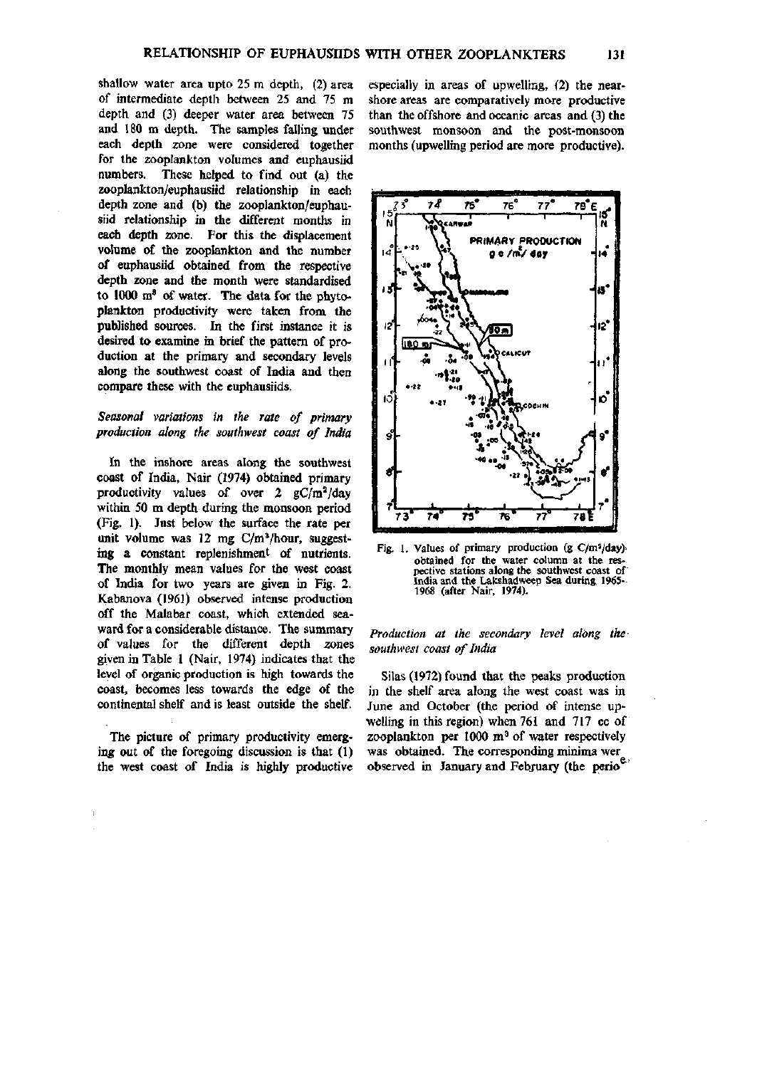shallow water area upto 25 m depth, (2) area of intermediate depth between 25 and 75 m depth and (3) deeper water area between 75 and 180 m depth. The samples falling under each depth zone were considered together for the zooplankton volumes and euphausiid numbers. These helped to find out (a) the zooplankton/euphausiid relationship in each depth zone and (b) the zooplankton/euphausiid relationship in the different months in each depth zone. For this the displacement volume of the zooplankton and the number of euphausiid obtained from the respective depth zone and the month were standardised to 1000 m' of water. The data for the phytoplankton productivity were taken from the published sources. In the first instance it is desired to examine in brief the pattern of production at the primary and secondary levels along the southwest coast of India and then compare these with the euphausiids.

# *Seasonal variations in the rate of primary production along the southwest coast of India*

In the inshore areas along the southwest coast of India, Nair (1974) obtained primary productivity values of over 2  $gC/m^2/day$ within 50 m depth during the monsoon period (Fig, 1). Just below the surface the rate per unit volume was 12 mg C/m^/hour, suggesting a constant replenishment of nutrients. The monthly mean values for the west coast of India for two years are given in Fig. 2. Kabanova (1961) observed intense production off the Malabar coast, which extended seaward for a considerable distance. The summary of values for the different depth zones given in Table 1 (Nair, 1974) indicates that the level of organic production is high towards the coast, becomes less towards the edge of the continental shelf and is least outside the shelf.

The picture of primary productivity emerging out of the foregoing discussion is that (1) the west coast of India is highly productive especially in areas of upwelling, (2) the nearshore areas are comparatively more productive than the offshore and oceanic areas and (3) the southwest monsoon and the post-monsoon months (upwelling period are more productive).



Fig. 1. Values of primary production (g C/m<sup>2</sup>/day)obtained for the water column at the respective stations along the southwest coast of' India and the Lakshadweep Sea during 1965- 1968 (after Nair, 1974).

### *Production at the secondary level along the southwest coast of India*

Silas (1972) found that the peaks production in the shelf area along the west coast was in June and October (the period of intense upwelling in this region) when 761 and 717 cc of zooplankton per  $1000 \text{ m}^3$  of water respectively was obtained. The corresponding minima wer observed in January and February (the perio<sup>e</sup>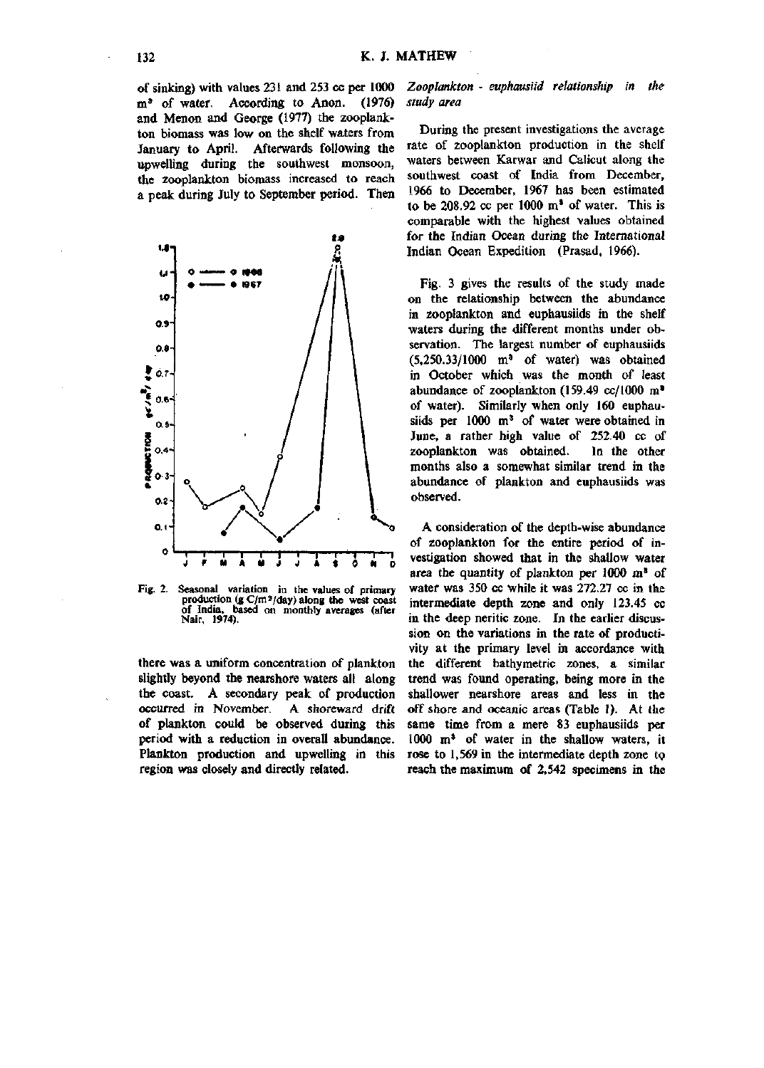of sinking) with values 231 and 253 cc per 1000 m' of water. According to Anon. (1976) and Menon and George (1977) the zooplankton biomass was low on the shelf waters from January to April. Afterwards following the upweUing during the southwest monsoon, the zooplankton biomass increased to reach a peak during July to September period. Then



Fig. 2. Seasonal variation in the values of primary production (g C/m<sup>2</sup>/day) along the west coast<br>of India, based on monthly averages (after Nair, 1974).

there was a uniform concentration of plankton slightly beyond the nearshore waters all along the coast. A secondary peak of production occurred in November. A shoreward drift of plankton could be observed during this period with a reduction in overall abundance. Plankton production and upwelling in this region was closely and directly related.

### *Zooplankton - euphausiid relationship in the study area*

During the present investigations the average rate of zooplankton production in the shelf waters between Karwar and Calicut along the southwest coast of India from December, 1966 to December, 1967 has been estimated to be 208.92 cc per 1000  $m^3$  of water. This is comparable with the highest values obtained for the Indian Ocean during the International Indian Ocean Expedition (Prasad, 1966).

Fig. 3 gives the results of the study made on the relationship between the abundance in zooplankton and euphausiids in the shelf waters during the different months under observation. The largest number of euphausiids  $(5,250.33/1000 \text{ m}^3)$  of water) was obtained in October which was the month of least abundance of zooplankton (159.49 cc/1000 m\* of water). Similarly when only 160 euphausiids per 1000 m<sup>3</sup> of water were obtained in June, a rather high value of 252.40 cc of zooplankton was obtained. In the other months also a somewhat similar trend in the abundance of plankton and euphausiids was observed.

A consideration of the depth-wise abundance of zooplankton for the entire period of investigation showed that in the shallow water area the quantity of plankton per 1000 m' of water was 350 cc while it was 272.27 cc in the intermediate depth zone and only 123.45 cc in the deep neritic zone. In the earlier discussion on the variations in the rate of productivity at the primary level in accordance with the different bathymetric zones, a similar trend was found operating, being more in the shallower nearshore areas and less in the off shore and oceanic areas (Table 1). At the same time from a mere 83 euphausiids per 1000 m\* of water in the shallow waters, it rose to 1,569 in the intermediate depth zone tp reach the maximum of 2,542 specimens in the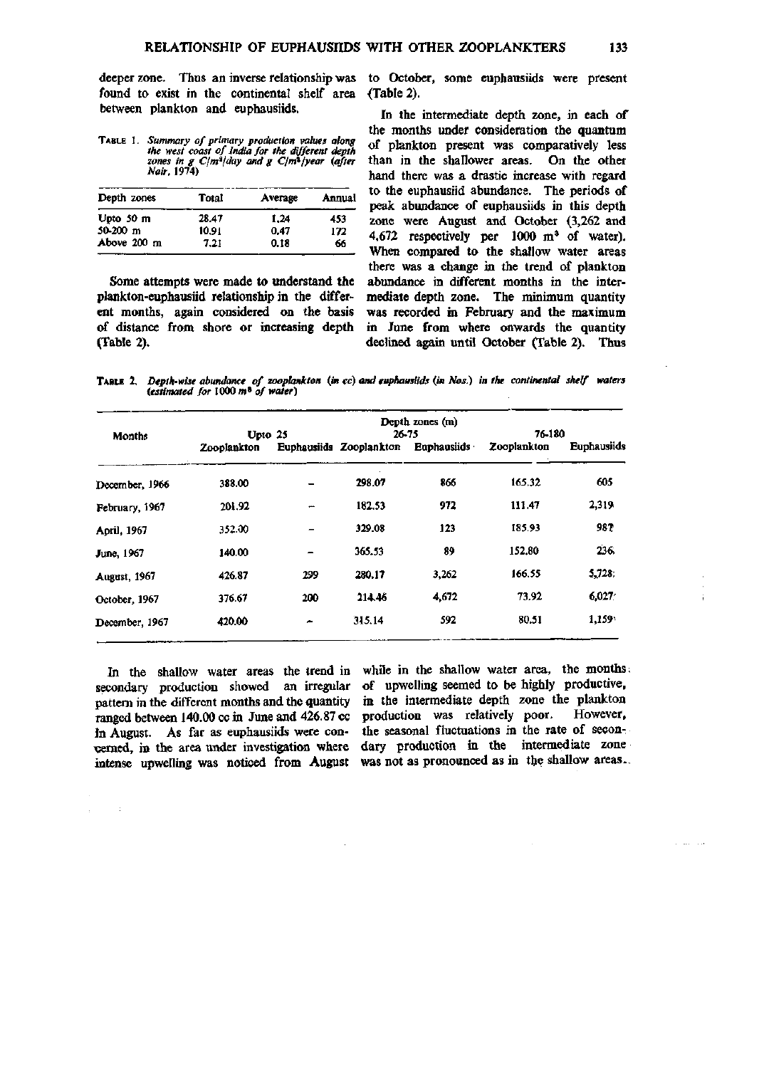found to exist in the continental shelf area between plankton and euphausiids.

| <b>TABLE 1. Summary of primary production values along</b><br>the west coast of India for the different depth<br>zones in g $C/m^2$ /day and g $C/m^2$ /year (after<br>Nair. 1974) |
|------------------------------------------------------------------------------------------------------------------------------------------------------------------------------------|
|                                                                                                                                                                                    |

| Depth zones         | Total | Average | Annual |  |
|---------------------|-------|---------|--------|--|
| Upto $50 \text{ m}$ | 28.47 | 1.24    | 453    |  |
| $50-200$ m          | 10.91 | 0.47    | 172    |  |
| Above 200 m         | 7.21  | 0.18    | 66     |  |
|                     |       |         |        |  |

Some attempts were made to understand the plankton-euphaasiid relationship in the different months, again considered on the basis *oS* distance from shore or increasing depth (Table 2).

deeper zone. Thus an inverse relationship was to October, some euphausiids were present {Table 2).

> In the intermediate depth zone, in each of the months under consideration the quantum of plankton present was comparatively less than in the shallower areas. On the other hand there was a drastic increase with regard to the euphausiid abundance. The periods of peak abundance of euphausiids in this depth zone were August and October (3,262 and 4,672 respectively per 1000 m' of water). When compared to the shallow water areas there was a change in the trend of plankton abundance in different months in the intermediate depth zone. The minimum quantity was recorded in February and the maximum in June from where onwards the quantity declined again until October (Table 2). Thus

TABLE 2. *Depth-wise abundance of zooplankton (in cc) and euphausiids (in Nos.) in the continental shelf waters (estimated for* 1000 m» o/ *water)* 

| Months               | Depth zones (m)<br>76-180<br>26-75<br>Upto 25 |     |                         |                    |             |                    |
|----------------------|-----------------------------------------------|-----|-------------------------|--------------------|-------------|--------------------|
|                      | Zooplankton                                   |     | Euphausiids Zooplankton | <b>Euphausiids</b> | Zooplankton | <b>Euphausiids</b> |
| December, 1966       | 388.00                                        |     | 298.07                  | 866                | 165.32      | 605                |
| February, 1967       | 201.92                                        | ÷   | 182.53                  | 972                | 111.47      | 2,319              |
| April, 1967          | 352.00                                        | -   | 329.08                  | 123                | 185.93      | 987                |
| June, 1967           | 140.00                                        |     | 365.53                  | 89                 | 152.80      | 236.               |
| <b>August</b> , 1967 | 426.87                                        | 299 | 280.17                  | 3,262              | 166.55      | 5,728;             |
| October, 1967        | 376.67                                        | 200 | 214.46                  | 4,672              | 73.92       | 6,027              |
| December, 1967       | 420.00                                        | -   | 315.14                  | 592                | 80.51       | 1,159              |

pattern in the different months and the quantity in the intermediate depth zone the plankton In August. As far as euphausiids were concerned, in the area under investigation where

 $\sim$   $\pm$ 

In the shallow water areas the trend in while in the shallow water area, the months, secondary production showed an irregular of upwelling seemed to be highly productive, ranged between 140.00 cc in June and 426.87 cc production was relatively poor. However, intense upwelling was noticed from August was not as pronounced as in the shallow areas. the seasonal fluctuations in the rate of secondary production in the intermediate zone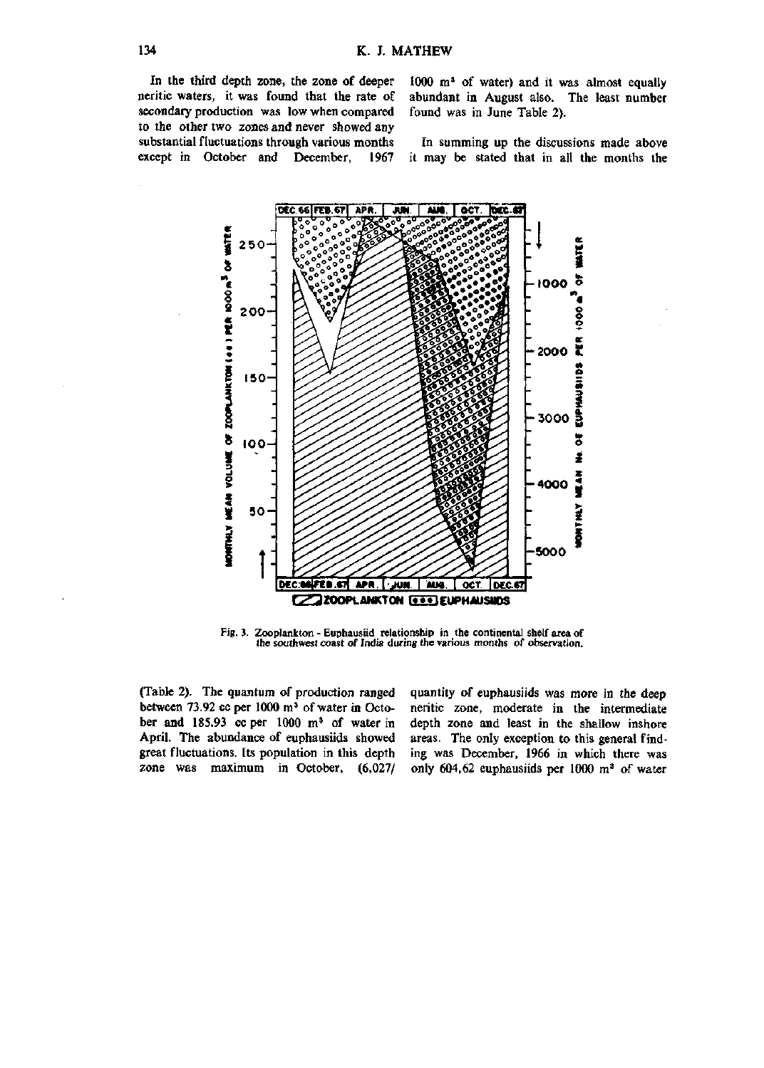In the third depth zone, the zone of deeper neritic waters, it was found that the rate of secondary production was low when compared to the other two zones and never showed any substantial fluctuations through various months except in October and December, 1967

1000 m<sup>3</sup> of water) and it was almost equally abundant in August also. The least number found was in June Table 2).

In summing up the discussions made above it may be stated that in all the months the



Fig. 3. Zooplankton - Euphausiid relationship in the continental shelf area of the southwest coast of India during the various months of observation.

(Table 2). The quantum of production ranged between 73.92 cc per  $1000 \text{ m}^3$  of water in October and 185.93 cc per 1000 m' of water in April. The abundance of euphausiids showed great fluctuations. Its population in this depth zone was maximum in October, (6,027/

quantity of euphausiids was more in the deep neritic zone, moderate in the intermediate depth zone and least in the shallow inshore areas. The only exception to this general finding was December, 1966 in which there was only 604,62 euphausiids per 1000 m' of water